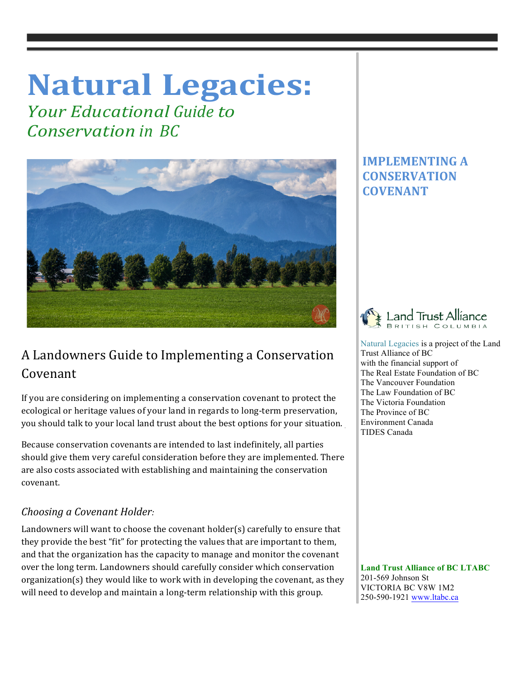# **Natural Legacies:**

*<u>Your Educational Guide to</u> Conservation in BC*



## A Landowners Guide to Implementing a Conservation Covenant

If you are considering on implementing a conservation covenant to protect the ecological or heritage values of your land in regards to long-term preservation, you should talk to your local land trust about the best options for your situation.

Because conservation covenants are intended to last indefinitely, all parties should give them very careful consideration before they are implemented. There are also costs associated with establishing and maintaining the conservation covenant. 

## *Choosing a Covenant Holder:*

Landowners will want to choose the covenant holder(s) carefully to ensure that they provide the best "fit" for protecting the values that are important to them, and that the organization has the capacity to manage and monitor the covenant over the long term. Landowners should carefully consider which conservation organization(s) they would like to work with in developing the covenant, as they will need to develop and maintain a long-term relationship with this group.

## **IMPLEMENTING A CONSERVATION COVENANT**



 Natural Legacies is a project of the Land Trust Alliance of BC with the financial support of The Real Estate Foundation of BC The Vancouver Foundation The Law Foundation of BC The Victoria Foundation The Province of BC Environment Canada TIDES Canada

 **Land Trust Alliance of BC LTABC** 201-569 Johnson St VICTORIA BC V8W 1M2 250-590-1921 www.ltabc.ca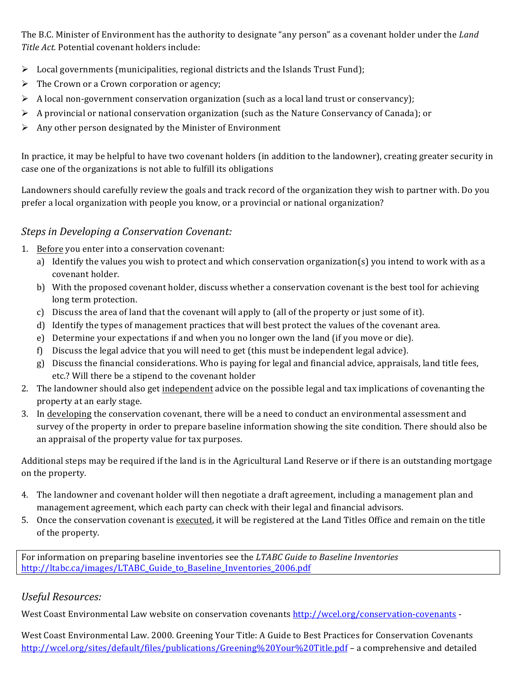The B.C. Minister of Environment has the authority to designate "any person" as a covenant holder under the *Land* Title Act. Potential covenant holders include:

- $\triangleright$  Local governments (municipalities, regional districts and the Islands Trust Fund);
- $\triangleright$  The Crown or a Crown corporation or agency;
- $\triangleright$  A local non-government conservation organization (such as a local land trust or conservancy);
- $\triangleright$  A provincial or national conservation organization (such as the Nature Conservancy of Canada); or
- $\triangleright$  Any other person designated by the Minister of Environment

In practice, it may be helpful to have two covenant holders (in addition to the landowner), creating greater security in case one of the organizations is not able to fulfill its obligations

Landowners should carefully review the goals and track record of the organization they wish to partner with. Do you prefer a local organization with people you know, or a provincial or national organization?

#### **Steps in Developing a Conservation Covenant:**

- 1. Before you enter into a conservation covenant:
	- a) Identify the values you wish to protect and which conservation organization(s) you intend to work with as a covenant holder.
	- b) With the proposed covenant holder, discuss whether a conservation covenant is the best tool for achieving long term protection.
	- c) Discuss the area of land that the covenant will apply to (all of the property or just some of it).
	- d) Identify the types of management practices that will best protect the values of the covenant area.
	- e) Determine your expectations if and when you no longer own the land (if you move or die).
	- f) Discuss the legal advice that you will need to get (this must be independent legal advice).
	- g) Discuss the financial considerations. Who is paying for legal and financial advice, appraisals, land title fees, etc.? Will there be a stipend to the covenant holder
- 2. The landowner should also get independent advice on the possible legal and tax implications of covenanting the property at an early stage.
- 3. In developing the conservation covenant, there will be a need to conduct an environmental assessment and survey of the property in order to prepare baseline information showing the site condition. There should also be an appraisal of the property value for tax purposes.

Additional steps may be required if the land is in the Agricultural Land Reserve or if there is an outstanding mortgage on the property.

- 4. The landowner and covenant holder will then negotiate a draft agreement, including a management plan and management agreement, which each party can check with their legal and financial advisors.
- 5. Once the conservation covenant is executed, it will be registered at the Land Titles Office and remain on the title of the property.

For information on preparing baseline inventories see the *LTABC Guide to Baseline Inventories* http://ltabc.ca/images/LTABC\_Guide\_to\_Baseline\_Inventories\_2006.pdf

## *Useful Resources:*

West Coast Environmental Law website on conservation covenants http://wcel.org/conservation-covenants -

West Coast Environmental Law. 2000. Greening Your Title: A Guide to Best Practices for Conservation Covenants http://wcel.org/sites/default/files/publications/Greening%20Your%20Title.pdf – a comprehensive and detailed